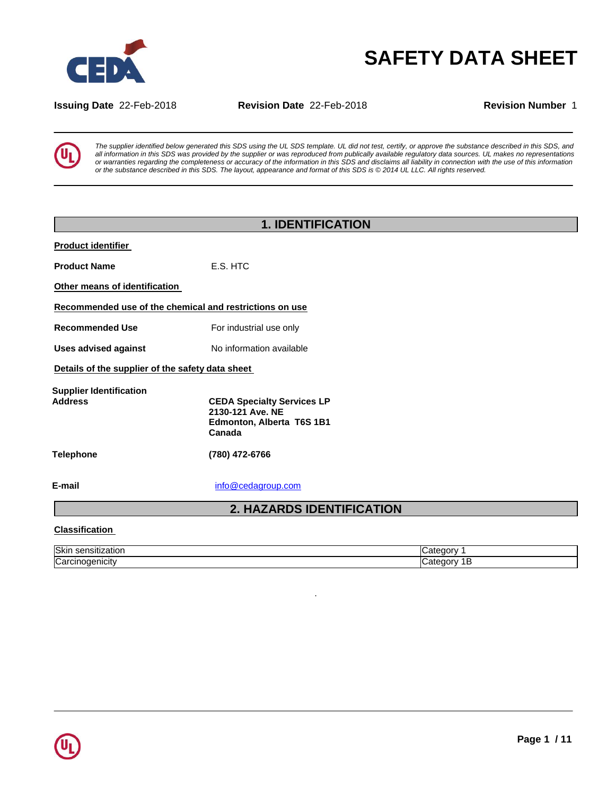

# **SAFETY DATA SHEET**

**Issuing Date** 22-Feb-2018 **Revision Date** 22-Feb-2018 **Revision Number** 1



*The supplier identified below generated this SDS using the UL SDS template. UL did not test, certify, or approve the substance described in this SDS, and all information in this SDS was provided by the supplier or was reproduced from publically available regulatory data sources. UL makes no representations or warranties regarding the completeness or accuracy of the information in this SDS and disclaims all liability in connection with the use of this information or the substance described in this SDS. The layout, appearance and format of this SDS is © 2014 UL LLC. All rights reserved.*

|                                                  | <b>1. IDENTIFICATION</b>                                                                     |  |
|--------------------------------------------------|----------------------------------------------------------------------------------------------|--|
| <b>Product identifier</b>                        |                                                                                              |  |
| <b>Product Name</b>                              | E.S. HTC                                                                                     |  |
| Other means of identification                    |                                                                                              |  |
|                                                  | Recommended use of the chemical and restrictions on use                                      |  |
| <b>Recommended Use</b>                           | For industrial use only                                                                      |  |
| <b>Uses advised against</b>                      | No information available                                                                     |  |
| Details of the supplier of the safety data sheet |                                                                                              |  |
| <b>Supplier Identification</b><br><b>Address</b> | <b>CEDA Specialty Services LP</b><br>2130-121 Ave. NE<br>Edmonton, Alberta T6S 1B1<br>Canada |  |
| Telephone                                        | (780) 472-6766                                                                               |  |
| E-mail                                           | info@cedagroup.com                                                                           |  |
|                                                  | <b>2. HAZARDS IDENTIFICATION</b>                                                             |  |
| <b>Classification</b>                            |                                                                                              |  |

## **Classification**

| Ski<br>auor<br>.           |                |
|----------------------------|----------------|
| $\sim$<br>ا ۱۱CIIV ت<br>va | <b>Parties</b> |

.

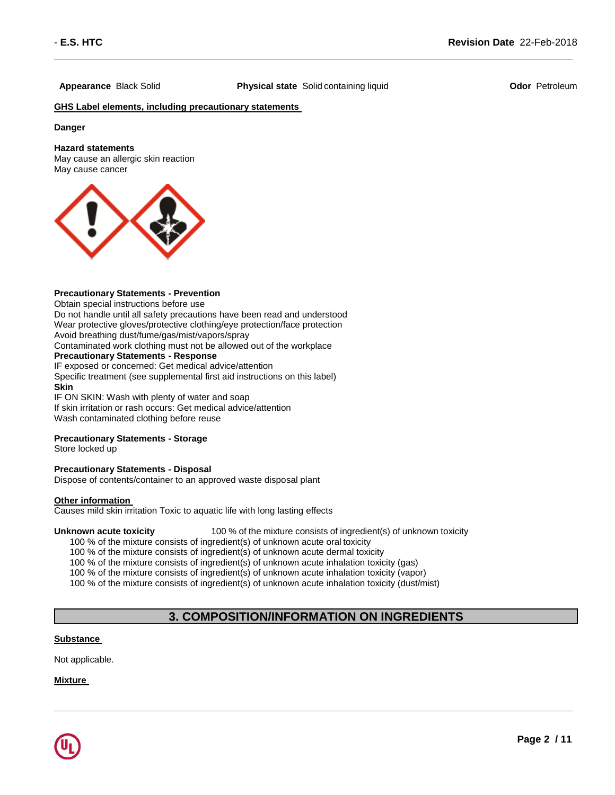**Appearance** Black Solid **Physical state** Solid containing liquid **Odor** Petroleum

## **GHS Label elements, including precautionary statements**

**Danger**

#### **Hazard statements**

May cause an allergic skin reaction May cause cancer



## **Precautionary Statements - Prevention**

Obtain special instructions before use

Do not handle until all safety precautions have been read and understood Wear protective gloves/protective clothing/eye protection/face protection Avoid breathing dust/fume/gas/mist/vapors/spray

Contaminated work clothing must not be allowed out of the workplace

## **Precautionary Statements - Response**

IF exposed or concerned: Get medical advice/attention Specific treatment (see supplemental first aid instructions on this label) **Skin** IF ON SKIN: Wash with plenty of water and soap

If skin irritation or rash occurs: Get medical advice/attention Wash contaminated clothing before reuse

## **Precautionary Statements - Storage**

Store locked up

## **Precautionary Statements - Disposal**

Dispose of contents/container to an approved waste disposal plant

#### **Other information**

Causes mild skin irritation Toxic to aquatic life with long lasting effects

**Unknown acute toxicity** 100 % of the mixture consists of ingredient(s) of unknown toxicity

100 % of the mixture consists of ingredient(s) of unknown acute oral toxicity

100 % of the mixture consists of ingredient(s) of unknown acute dermal toxicity

100 % of the mixture consists of ingredient(s) of unknown acute inhalation toxicity (gas)

100 % of the mixture consists of ingredient(s) of unknown acute inhalation toxicity (vapor)

100 % of the mixture consists of ingredient(s) of unknown acute inhalation toxicity (dust/mist)

## **3. COMPOSITION/INFORMATION ON INGREDIENTS**

## **Substance**

Not applicable.

## **Mixture**

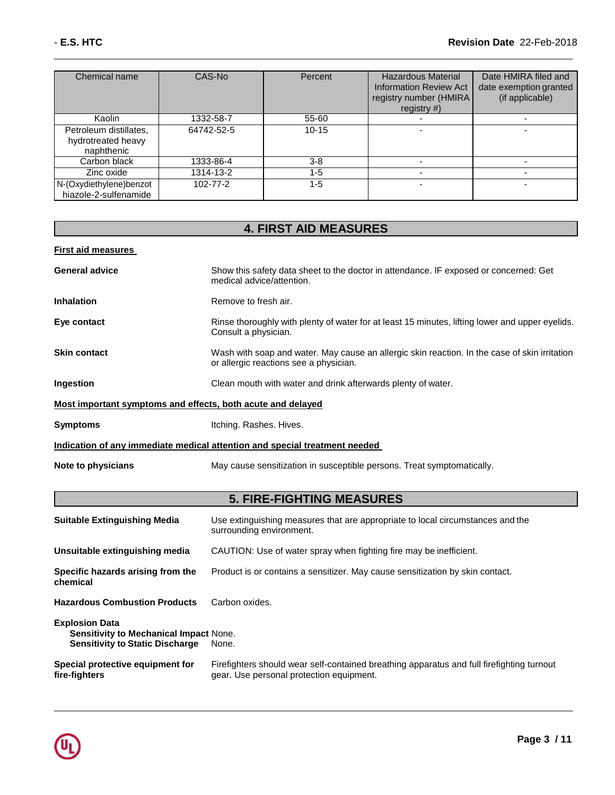| Chemical name                                              | CAS-No     | Percent   | <b>Hazardous Material</b><br><b>Information Review Act</b><br>registry number (HMIRA<br>registry $#$ ) | Date HMIRA filed and<br>date exemption granted<br>(if applicable) |
|------------------------------------------------------------|------------|-----------|--------------------------------------------------------------------------------------------------------|-------------------------------------------------------------------|
| Kaolin                                                     | 1332-58-7  | 55-60     |                                                                                                        |                                                                   |
| Petroleum distillates,<br>hydrotreated heavy<br>naphthenic | 64742-52-5 | $10 - 15$ |                                                                                                        |                                                                   |
| Carbon black                                               | 1333-86-4  | $3-8$     |                                                                                                        |                                                                   |
| Zinc oxide                                                 | 1314-13-2  | 1-5       |                                                                                                        |                                                                   |
| N-(Oxydiethylene)benzot<br>hiazole-2-sulfenamide           | 102-77-2   | $1 - 5$   |                                                                                                        | -                                                                 |

## **4. FIRST AID MEASURES**

| <b>First aid measures</b>                                   |                                                                                                                                         |
|-------------------------------------------------------------|-----------------------------------------------------------------------------------------------------------------------------------------|
| <b>General advice</b>                                       | Show this safety data sheet to the doctor in attendance. IF exposed or concerned: Get<br>medical advice/attention.                      |
| <b>Inhalation</b>                                           | Remove to fresh air.                                                                                                                    |
| Eye contact                                                 | Rinse thoroughly with plenty of water for at least 15 minutes, lifting lower and upper eyelids.<br>Consult a physician.                 |
| <b>Skin contact</b>                                         | Wash with soap and water. May cause an allergic skin reaction. In the case of skin irritation<br>or allergic reactions see a physician. |
| Ingestion                                                   | Clean mouth with water and drink afterwards plenty of water.                                                                            |
| Most important symptoms and effects, both acute and delayed |                                                                                                                                         |
| <b>Symptoms</b>                                             | Itching. Rashes. Hives.                                                                                                                 |
|                                                             | Indication of any immediate medical attention and special treatment needed                                                              |
| Note to physicians                                          | May cause sensitization in susceptible persons. Treat symptomatically.                                                                  |
|                                                             |                                                                                                                                         |

## **5. FIRE-FIGHTING MEASURES**

| <b>Suitable Extinguishing Media</b>                                                                              | Use extinguishing measures that are appropriate to local circumstances and the<br>surrounding environment.                            |
|------------------------------------------------------------------------------------------------------------------|---------------------------------------------------------------------------------------------------------------------------------------|
| Unsuitable extinguishing media                                                                                   | CAUTION: Use of water spray when fighting fire may be inefficient.                                                                    |
| Specific hazards arising from the<br>chemical                                                                    | Product is or contains a sensitizer. May cause sensitization by skin contact.                                                         |
| <b>Hazardous Combustion Products</b>                                                                             | Carbon oxides.                                                                                                                        |
| <b>Explosion Data</b><br><b>Sensitivity to Mechanical Impact None.</b><br><b>Sensitivity to Static Discharge</b> | None.                                                                                                                                 |
| Special protective equipment for<br>fire-fighters                                                                | Firefighters should wear self-contained breathing apparatus and full firefighting turnout<br>gear. Use personal protection equipment. |

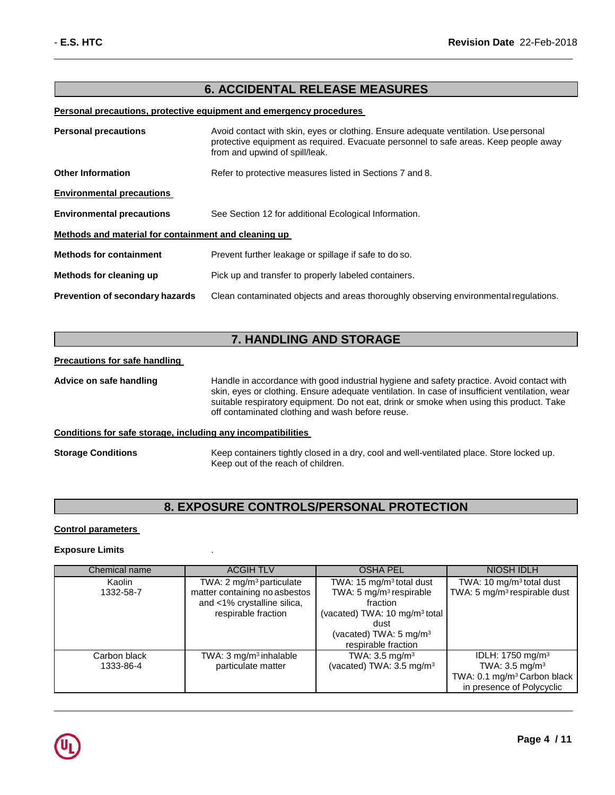## **6. ACCIDENTAL RELEASE MEASURES**

#### **Personal precautions, protective equipment and emergency procedures**

| <b>Personal precautions</b>                          | Avoid contact with skin, eyes or clothing. Ensure adequate ventilation. Use personal<br>protective equipment as required. Evacuate personnel to safe areas. Keep people away<br>from and upwind of spill/leak. |  |
|------------------------------------------------------|----------------------------------------------------------------------------------------------------------------------------------------------------------------------------------------------------------------|--|
| <b>Other Information</b>                             | Refer to protective measures listed in Sections 7 and 8.                                                                                                                                                       |  |
| <b>Environmental precautions</b>                     |                                                                                                                                                                                                                |  |
| <b>Environmental precautions</b>                     | See Section 12 for additional Ecological Information.                                                                                                                                                          |  |
| Methods and material for containment and cleaning up |                                                                                                                                                                                                                |  |
| <b>Methods for containment</b>                       | Prevent further leakage or spillage if safe to do so.                                                                                                                                                          |  |
| Methods for cleaning up                              | Pick up and transfer to properly labeled containers.                                                                                                                                                           |  |
| <b>Prevention of secondary hazards</b>               | Clean contaminated objects and areas thoroughly observing environmental regulations.                                                                                                                           |  |

## **7. HANDLING AND STORAGE**

## **Precautions for safe handling**

**Advice on safe handling** Handle in accordance with good industrial hygiene and safety practice. Avoid contact with skin, eyes or clothing. Ensure adequate ventilation. In case of insufficient ventilation, wear suitable respiratory equipment. Do not eat, drink or smoke when using this product. Take off contaminated clothing and wash before reuse.

## **Conditions for safe storage, including any incompatibilities**

**Storage Conditions** Keep containers tightly closed in a dry, cool and well-ventilated place. Store locked up. Keep out of the reach of children.

## **8. EXPOSURE CONTROLS/PERSONAL PROTECTION**

## **Control parameters**

## **Exposure Limits** .

| Chemical name | <b>ACGIH TLV</b>                     | <b>OSHA PEL</b>                           | <b>NIOSH IDLH</b>                        |
|---------------|--------------------------------------|-------------------------------------------|------------------------------------------|
| Kaolin        | TWA: 2 mg/m <sup>3</sup> particulate | TWA: 15 mg/m <sup>3</sup> total dust      | TWA: 10 mg/m <sup>3</sup> total dust     |
| 1332-58-7     | matter containing no asbestos        | TWA: 5 mg/m <sup>3</sup> respirable       | TWA: 5 mg/m <sup>3</sup> respirable dust |
|               | and <1% crystalline silica,          | fraction                                  |                                          |
|               | respirable fraction                  | (vacated) TWA: 10 mg/m <sup>3</sup> total |                                          |
|               |                                      | dust                                      |                                          |
|               |                                      | (vacated) TWA: 5 mg/m <sup>3</sup>        |                                          |
|               |                                      | respirable fraction                       |                                          |
| Carbon black  | TWA: $3 \text{ mg/m}^3$ inhalable    | TWA: $3.5 \text{ mg/m}^3$                 | IDLH: 1750 mg/m <sup>3</sup>             |
| 1333-86-4     | particulate matter                   | (vacated) TWA: $3.5 \text{ mg/m}^3$       | TWA: $3.5$ mg/m <sup>3</sup>             |
|               |                                      |                                           | TWA: 0.1 mg/m <sup>3</sup> Carbon black  |
|               |                                      |                                           | in presence of Polycyclic                |

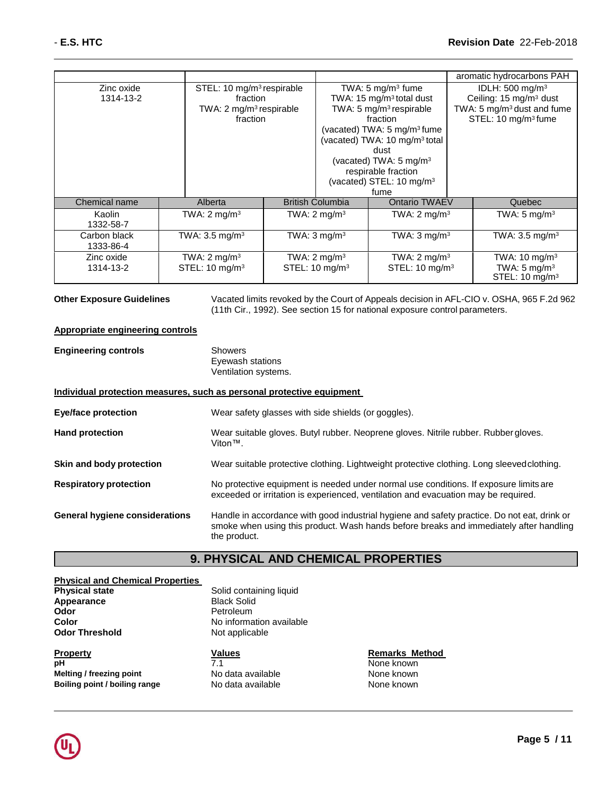|                           |                                                                                                      |                                                       |                                                                                                                                                                                                                                                                                                                                    | aromatic hydrocarbons PAH                                                                                                                     |
|---------------------------|------------------------------------------------------------------------------------------------------|-------------------------------------------------------|------------------------------------------------------------------------------------------------------------------------------------------------------------------------------------------------------------------------------------------------------------------------------------------------------------------------------------|-----------------------------------------------------------------------------------------------------------------------------------------------|
| Zinc oxide<br>1314-13-2   | STEL: 10 mg/m <sup>3</sup> respirable<br>fraction<br>TWA: 2 mg/m <sup>3</sup> respirable<br>fraction |                                                       | TWA: $5 \text{ mg/m}^3$ fume<br>TWA: 15 mg/m <sup>3</sup> total dust<br>TWA: 5 mg/m <sup>3</sup> respirable<br>fraction<br>(vacated) TWA: $5 \text{ mg/m}^3$ fume<br>(vacated) TWA: 10 mg/m <sup>3</sup> total<br>dust<br>(vacated) TWA: $5 \text{ mg/m}^3$<br>respirable fraction<br>(vacated) STEL: 10 mg/m <sup>3</sup><br>fume | IDLH: $500 \text{ mg/m}^3$<br>Ceiling: 15 mg/m <sup>3</sup> dust<br>TWA: 5 mg/m <sup>3</sup> dust and fume<br>STEL: 10 mg/m <sup>3</sup> fume |
| Chemical name             | Alberta                                                                                              | <b>British Columbia</b>                               | Ontario TWAEV                                                                                                                                                                                                                                                                                                                      | Quebec                                                                                                                                        |
| Kaolin<br>1332-58-7       | TWA: $2 \text{ mg/m}^3$                                                                              | TWA: $2 \text{ mg/m}^3$                               | TWA: $2 \text{ mg/m}^3$                                                                                                                                                                                                                                                                                                            | TWA: $5 \text{ mg/m}^3$                                                                                                                       |
| Carbon black<br>1333-86-4 | TWA: $3.5 \text{ mg/m}^3$                                                                            | TWA: $3 \text{ mg/m}^3$                               | TWA: $3 \text{ mg/m}^3$                                                                                                                                                                                                                                                                                                            | TWA: $3.5 \text{ mg/m}^3$                                                                                                                     |
| Zinc oxide<br>1314-13-2   | TWA: $2 \text{ mg/m}^3$<br>STEL: 10 mg/m <sup>3</sup>                                                | TWA: $2 \text{ mg/m}^3$<br>STEL: 10 mg/m <sup>3</sup> | TWA: $2 \text{ mg/m}^3$<br>STEL: 10 mg/m <sup>3</sup>                                                                                                                                                                                                                                                                              | TWA: 10 mg/m <sup>3</sup><br>TWA: $5 \text{ mg/m}^3$<br>STEL: 10 mg/m <sup>3</sup>                                                            |

**Other Exposure Guidelines** Vacated limits revoked by the Court of Appeals decision in AFL-CIO v. OSHA, 965 F.2d 962 (11th Cir., 1992). See section 15 for national exposure control parameters.

## **Appropriate engineering controls**

**Engineering controls** Showers Eyewash stations Ventilation systems.

## **Individual protection measures, such as personal protective equipment**

| <b>Eye/face protection</b>            | Wear safety glasses with side shields (or goggles).                                                                                                                                                   |
|---------------------------------------|-------------------------------------------------------------------------------------------------------------------------------------------------------------------------------------------------------|
| <b>Hand protection</b>                | Wear suitable gloves. Butyl rubber. Neoprene gloves. Nitrile rubber. Rubber gloves.<br>Viton™.                                                                                                        |
| Skin and body protection              | Wear suitable protective clothing. Lightweight protective clothing. Long sleeved clothing.                                                                                                            |
| <b>Respiratory protection</b>         | No protective equipment is needed under normal use conditions. If exposure limits are<br>exceeded or irritation is experienced, ventilation and evacuation may be required.                           |
| <b>General hygiene considerations</b> | Handle in accordance with good industrial hygiene and safety practice. Do not eat, drink or<br>smoke when using this product. Wash hands before breaks and immediately after handling<br>the product. |

## **9. PHYSICAL AND CHEMICAL PROPERTIES**

| <b>Physical and Chemical Properties</b> |                          |                       |
|-----------------------------------------|--------------------------|-----------------------|
| <b>Physical state</b>                   | Solid containing liquid  |                       |
| <b>Appearance</b>                       | <b>Black Solid</b>       |                       |
| Odor                                    | Petroleum                |                       |
| Color                                   | No information available |                       |
| Odor Threshold                          | Not applicable           |                       |
| Property                                | <b>Values</b>            | <b>Remarks Method</b> |
| pН                                      | 7.1                      | None known            |
| Melting / freezing point                | No data available        | None known            |
| Boiling point / boiling range           | No data available        | None known            |

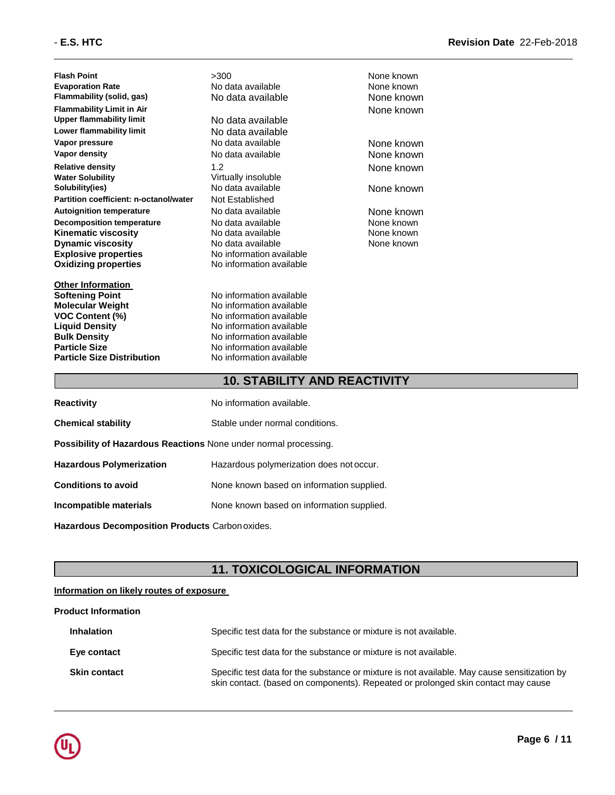**Flash Point** >300 None known **Evaporation Rate Note 2018 Note 2018 None known None known None known Flammability (solid, gas)** No data available None known **Flammability Limit in Air** None known **Lower flammability limit** No data available **Vapor pressure** No data available None known **Relative density**<br> **Water Solubility**<br> **Water Solubility**<br> **Water Solubility Solubility(ies)** No data available None known **Partition coefficient: n-octanol/water Autoignition temperature No data available None known Decomposition temperature** No data available None known **Kinematic viscosity No data available None known Dynamic viscosity** No data available **Explosive properties** No information available **Oxidizing properties** No information available

**Other Information Softening Point** No information available **Molecular Weight** No information available **VOC Content (%)**<br> **Content (%)**<br>
No information available<br>
No information available **Liquid Density Construction Available**<br> **Bulk Density Density No information available Particle Size** No information available **Particle Size Distribution** No information available

**No data available No data available Virtually insoluble** 

**No information available** 

None known

## **10. STABILITY AND REACTIVITY**

| <b>Reactivity</b>                                                       | No information available.                 |
|-------------------------------------------------------------------------|-------------------------------------------|
| <b>Chemical stability</b>                                               | Stable under normal conditions.           |
| <b>Possibility of Hazardous Reactions None under normal processing.</b> |                                           |
| <b>Hazardous Polymerization</b>                                         | Hazardous polymerization does not occur.  |
| <b>Conditions to avoid</b>                                              | None known based on information supplied. |
| Incompatible materials                                                  | None known based on information supplied. |
|                                                                         |                                           |

**Hazardous Decomposition Products** Carbon oxides.

## **11. TOXICOLOGICAL INFORMATION**

## **Information on likely routes of exposure**

## **Product Information**

| <b>Inhalation</b>   | Specific test data for the substance or mixture is not available.                                                                                                                 |
|---------------------|-----------------------------------------------------------------------------------------------------------------------------------------------------------------------------------|
| Eye contact         | Specific test data for the substance or mixture is not available.                                                                                                                 |
| <b>Skin contact</b> | Specific test data for the substance or mixture is not available. May cause sensitization by<br>skin contact. (based on components). Repeated or prolonged skin contact may cause |

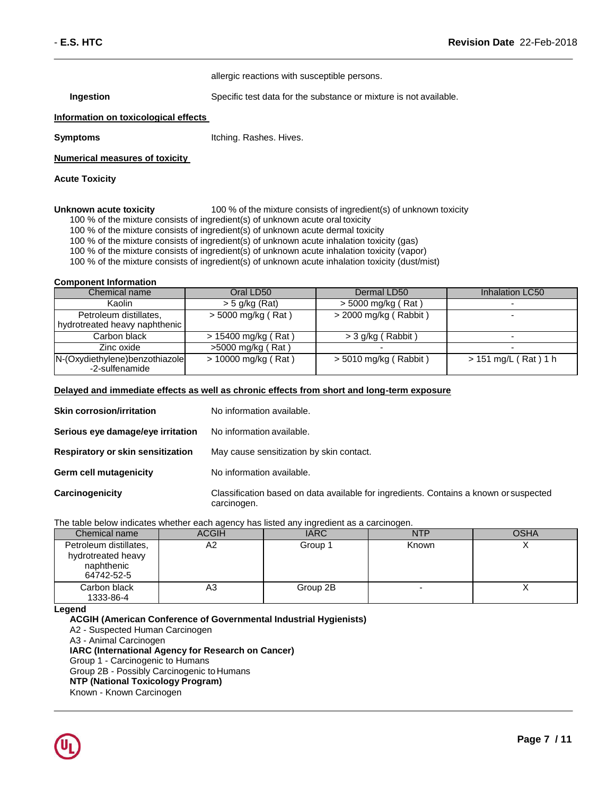allergic reactions with susceptible persons.

**Ingestion** Specific test data for the substance or mixture is not available.

#### **Information on toxicological effects**

**Symptoms Itching. Rashes. Hives.** 

#### **Numerical measures of toxicity**

#### **Acute Toxicity**

**Unknown acute toxicity** 100 % of the mixture consists of ingredient(s) of unknown toxicity

- 100 % of the mixture consists of ingredient(s) of unknown acute oral toxicity
- 100 % of the mixture consists of ingredient(s) of unknown acute dermal toxicity

100 % of the mixture consists of ingredient(s) of unknown acute inhalation toxicity (gas)

100 % of the mixture consists of ingredient(s) of unknown acute inhalation toxicity (vapor)

100 % of the mixture consists of ingredient(s) of unknown acute inhalation toxicity (dust/mist)

#### **Component Information**

| Chemical name                                           | Oral LD50           | Dermal LD50             | Inhalation LC50          |
|---------------------------------------------------------|---------------------|-------------------------|--------------------------|
| Kaolin                                                  | $>$ 5 g/kg (Rat)    | $>$ 5000 mg/kg (Rat)    |                          |
| Petroleum distillates,<br>hydrotreated heavy naphthenic | > 5000 mg/kg (Rat)  | > 2000 mg/kg (Rabbit)   |                          |
| Carbon black                                            | > 15400 mg/kg (Rat) | $>$ 3 g/kg (Rabbit)     | $\overline{\phantom{0}}$ |
| Zinc oxide                                              | >5000 mg/kg (Rat)   |                         |                          |
| N-(Oxydiethylene)benzothiazole<br>-2-sulfenamide        | > 10000 mg/kg (Rat) | $>$ 5010 mg/kg (Rabbit) | > 151 mg/L (Rat) 1 h     |

#### **Delayed and immediate effects as well as chronic effects from short and long-term exposure**

| <b>Skin corrosion/irritation</b>  | No information available.                                                                            |
|-----------------------------------|------------------------------------------------------------------------------------------------------|
| Serious eye damage/eye irritation | No information available.                                                                            |
| Respiratory or skin sensitization | May cause sensitization by skin contact.                                                             |
| <b>Germ cell mutagenicity</b>     | No information available.                                                                            |
| Carcinogenicity                   | Classification based on data available for ingredients. Contains a known or suspected<br>carcinogen. |

#### The table below indicates whether each agency has listed any ingredient as a carcinogen.

| Chemical name                                                            | <b>ACGIH</b> | <b>IARC</b> | <b>NTP</b> | <b>OSHA</b> |
|--------------------------------------------------------------------------|--------------|-------------|------------|-------------|
| Petroleum distillates,<br>hydrotreated heavy<br>naphthenic<br>64742-52-5 | A2           | Group 1     | Known      |             |
| Carbon black<br>1333-86-4                                                | A3           | Group 2B    |            |             |

**Legend**

**ACGIH (American Conference of Governmental Industrial Hygienists)** A2 - Suspected Human Carcinogen A3 - Animal Carcinogen **IARC (International Agency for Research on Cancer)** Group 1 - Carcinogenic to Humans Group 2B - Possibly Carcinogenic to Humans **NTP (National Toxicology Program)**  Known - Known Carcinogen

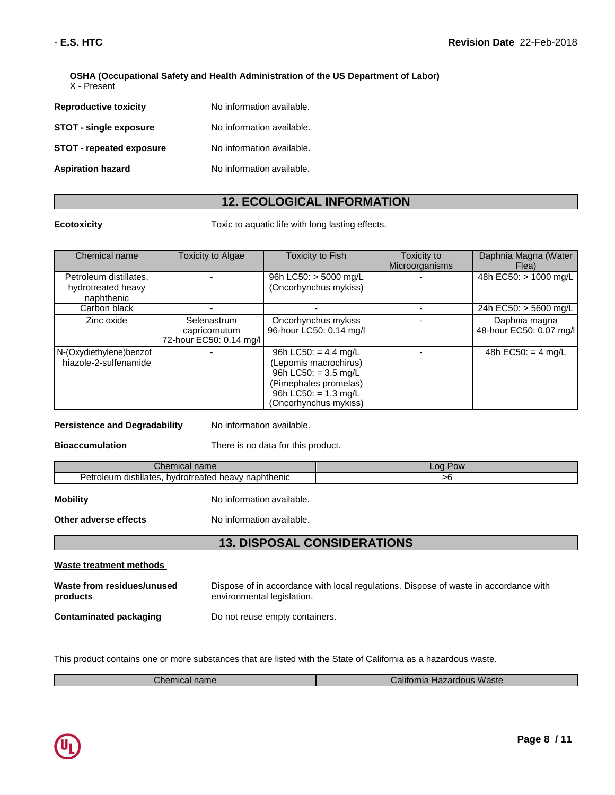**OSHA (Occupational Safety and Health Administration of the US Department of Labor)**

X - Present

| <b>Reproductive toxicity</b>    | No information available. |
|---------------------------------|---------------------------|
| <b>STOT - single exposure</b>   | No information available. |
| <b>STOT - repeated exposure</b> | No information available. |
| <b>Aspiration hazard</b>        | No information available. |

## **12. ECOLOGICAL INFORMATION**

**Ecotoxicity Toxic to aquatic life with long lasting effects.** 

| Chemical name                                              | <b>Toxicity to Algae</b>                                | <b>Toxicity to Fish</b>                                                                                                                                       | Toxicity to<br>Microorganisms | Daphnia Magna (Water<br>Flea)            |
|------------------------------------------------------------|---------------------------------------------------------|---------------------------------------------------------------------------------------------------------------------------------------------------------------|-------------------------------|------------------------------------------|
| Petroleum distillates,<br>hydrotreated heavy<br>naphthenic |                                                         | 96h LC50: $>$ 5000 mg/L<br>(Oncorhynchus mykiss)                                                                                                              |                               | 48h EC50: > 1000 mg/L                    |
| Carbon black                                               |                                                         |                                                                                                                                                               |                               | 24h EC50: > 5600 mg/L                    |
| Zinc oxide                                                 | Selenastrum<br>capricornutum<br>72-hour EC50: 0.14 mg/l | Oncorhynchus mykiss<br>96-hour LC50: 0.14 mg/l                                                                                                                |                               | Daphnia magna<br>48-hour EC50: 0.07 mg/l |
| N-(Oxydiethylene)benzot<br>hiazole-2-sulfenamide           |                                                         | 96h LC50: = $4.4$ mg/L<br>(Lepomis macrochirus)<br>96h LC50: = $3.5 \text{ mg/L}$<br>(Pimephales promelas)<br>96h LC50: = $1.3$ mg/L<br>(Oncorhynchus mykiss) |                               | 48h EC50: = $4 \text{ mg/L}$             |

## **Persistence and Degradability** No information available.

**Bioaccumulation** There is no data for this product.

| Chemical name                                                | .oa<br>Pow |
|--------------------------------------------------------------|------------|
| distillates.<br>Petroleum<br>. hvdrotreated heavv naphthenic |            |

**Mobility** No information available.

**Other adverse effects** No information available.

## **13. DISPOSAL CONSIDERATIONS**

| Waste treatment methods                |                                                                                                                    |
|----------------------------------------|--------------------------------------------------------------------------------------------------------------------|
| Waste from residues/unused<br>products | Dispose of in accordance with local regulations. Dispose of waste in accordance with<br>environmental legislation. |
| Contaminated packaging                 | Do not reuse empty containers.                                                                                     |

This product contains one or more substances that are listed with the State of California as a hazardous waste.

| $\mathcal L$ hemical name $\ell$ | California Hazardous Waste |
|----------------------------------|----------------------------|
|                                  |                            |

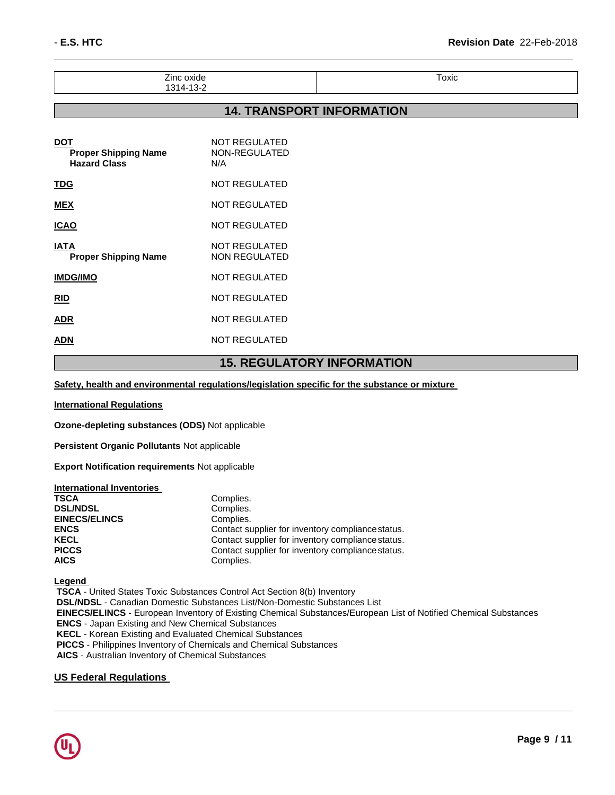| $\overline{\phantom{0}}$<br>'ınc<br>. н<br>--<br>. | Toxic |
|----------------------------------------------------|-------|
| – ⊶<br>. .                                         |       |

## **14. TRANSPORT INFORMATION**

| DOT<br><b>Proper Shipping Name</b><br><b>Hazard Class</b> | <b>NOT REGULATED</b><br>NON-REGULATED<br>N/A |
|-----------------------------------------------------------|----------------------------------------------|
| <b>TDG</b>                                                | <b>NOT REGULATED</b>                         |
| <b>MEX</b>                                                | <b>NOT REGULATED</b>                         |
| <b>ICAO</b>                                               | <b>NOT REGULATED</b>                         |
| IATA<br><b>Proper Shipping Name</b>                       | <b>NOT REGULATED</b><br><b>NON REGULATED</b> |
| <b>IMDG/IMO</b>                                           | <b>NOT REGULATED</b>                         |
| <b>RID</b>                                                | <b>NOT REGULATED</b>                         |
| ADR                                                       | <b>NOT REGULATED</b>                         |
| ADN                                                       | <b>NOT REGULATED</b>                         |
|                                                           |                                              |

## **15. REGULATORY INFORMATION**

**Safety, health and environmental regulations/legislation specific for the substance or mixture** 

**International Regulations**

**Ozone-depleting substances (ODS)** Not applicable

**Persistent Organic Pollutants** Not applicable

**Export Notification requirements** Not applicable

| <b>International Inventories</b> |                                                   |
|----------------------------------|---------------------------------------------------|
| <b>TSCA</b>                      | Complies.                                         |
| <b>DSL/NDSL</b>                  | Complies.                                         |
| <b>EINECS/ELINCS</b>             | Complies.                                         |
| <b>ENCS</b>                      | Contact supplier for inventory compliance status. |
| <b>KECL</b>                      | Contact supplier for inventory compliance status. |
| <b>PICCS</b>                     | Contact supplier for inventory compliance status. |
| <b>AICS</b>                      | Complies.                                         |

**Legend** 

**TSCA** - United States Toxic Substances Control Act Section 8(b) Inventory **DSL/NDSL** - Canadian Domestic Substances List/Non-Domestic Substances List **EINECS/ELINCS** - European Inventory of Existing Chemical Substances/European List of Notified Chemical Substances **ENCS** - Japan Existing and New Chemical Substances **KECL** - Korean Existing and Evaluated Chemical Substances **PICCS** - Philippines Inventory of Chemicals and Chemical Substances **AICS** - Australian Inventory of Chemical Substances

## **US Federal Regulations**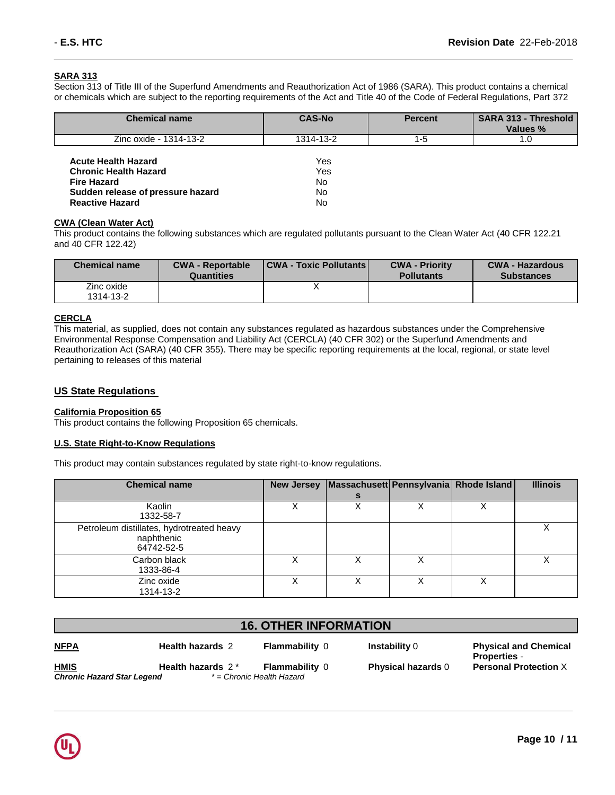## **SARA 313**

Section 313 of Title III of the Superfund Amendments and Reauthorization Act of 1986 (SARA). This product contains a chemical or chemicals which are subject to the reporting requirements of the Act and Title 40 of the Code of Federal Regulations, Part 372

| <b>Chemical name</b>                                                                                                                            | <b>CAS-No</b>                  | <b>Percent</b> | <b>SARA 313 - Threshold</b><br>Values % |
|-------------------------------------------------------------------------------------------------------------------------------------------------|--------------------------------|----------------|-----------------------------------------|
| Zinc oxide - 1314-13-2                                                                                                                          | 1314-13-2                      | 1-5            | 1.O                                     |
| <b>Acute Health Hazard</b><br><b>Chronic Health Hazard</b><br><b>Fire Hazard</b><br>Sudden release of pressure hazard<br><b>Reactive Hazard</b> | Yes<br>Yes<br>No.<br>No.<br>No |                |                                         |

## **CWA (Clean Water Act)**

This product contains the following substances which are regulated pollutants pursuant to the Clean Water Act (40 CFR 122.21 and 40 CFR 122.42)

| <b>Chemical name</b>    | <b>CWA - Reportable</b><br><b>Quantities</b> | <b>CWA - Toxic Pollutants</b> | <b>CWA - Priority</b><br><b>Pollutants</b> | <b>CWA - Hazardous</b><br><b>Substances</b> |
|-------------------------|----------------------------------------------|-------------------------------|--------------------------------------------|---------------------------------------------|
| Zinc oxide<br>1314-13-2 |                                              |                               |                                            |                                             |

## **CERCLA**

This material, as supplied, does not contain any substances regulated as hazardous substances under the Comprehensive Environmental Response Compensation and Liability Act (CERCLA) (40 CFR 302) or the Superfund Amendments and Reauthorization Act (SARA) (40 CFR 355). There may be specific reporting requirements at the local, regional, or state level pertaining to releases of this material

## **US State Regulations**

#### **California Proposition 65**

This product contains the following Proposition 65 chemicals.

## **U.S. State Right-to-Know Regulations**

This product may contain substances regulated by state right-to-know regulations.

| <b>Chemical name</b>                                                  | <b>New Jersey</b> | Massachusett Pennsylvania Rhode Island |   | <b>Illinois</b> |
|-----------------------------------------------------------------------|-------------------|----------------------------------------|---|-----------------|
| Kaolin<br>1332-58-7                                                   |                   |                                        |   |                 |
| Petroleum distillates, hydrotreated heavy<br>naphthenic<br>64742-52-5 |                   |                                        |   |                 |
| Carbon black<br>1333-86-4                                             |                   |                                        | х |                 |
| Zinc oxide<br>1314-13-2                                               |                   |                                        | Χ |                 |

| <b>16. OTHER INFORMATION</b>                     |                         |                                                    |                           |                                                     |  |
|--------------------------------------------------|-------------------------|----------------------------------------------------|---------------------------|-----------------------------------------------------|--|
| <b>NFPA</b>                                      | <b>Health hazards 2</b> | <b>Flammability 0</b>                              | <b>Instability 0</b>      | <b>Physical and Chemical</b><br><b>Properties -</b> |  |
| <b>HMIS</b><br><b>Chronic Hazard Star Legend</b> | Health hazards 2*       | <b>Flammability 0</b><br>* = Chronic Health Hazard | <b>Physical hazards 0</b> | <b>Personal Protection X</b>                        |  |